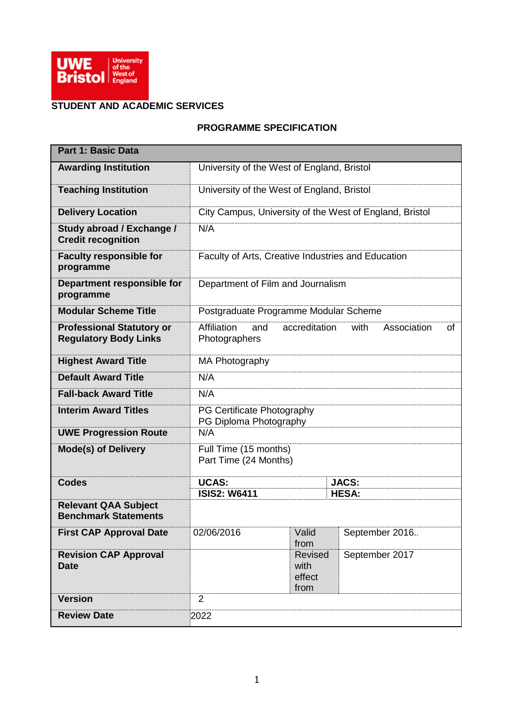

# **STUDENT AND ACADEMIC SERVICES**

## **PROGRAMME SPECIFICATION**

| <b>Part 1: Basic Data</b>                                        |                                                                                          |                                            |                                                         |  |  |  |  |
|------------------------------------------------------------------|------------------------------------------------------------------------------------------|--------------------------------------------|---------------------------------------------------------|--|--|--|--|
| <b>Awarding Institution</b>                                      | University of the West of England, Bristol                                               |                                            |                                                         |  |  |  |  |
| <b>Teaching Institution</b>                                      |                                                                                          | University of the West of England, Bristol |                                                         |  |  |  |  |
| <b>Delivery Location</b>                                         |                                                                                          |                                            | City Campus, University of the West of England, Bristol |  |  |  |  |
| Study abroad / Exchange /<br><b>Credit recognition</b>           | N/A                                                                                      |                                            |                                                         |  |  |  |  |
| <b>Faculty responsible for</b><br>programme                      | Faculty of Arts, Creative Industries and Education                                       |                                            |                                                         |  |  |  |  |
| <b>Department responsible for</b><br>programme                   | Department of Film and Journalism                                                        |                                            |                                                         |  |  |  |  |
| <b>Modular Scheme Title</b>                                      | Postgraduate Programme Modular Scheme                                                    |                                            |                                                         |  |  |  |  |
| <b>Professional Statutory or</b><br><b>Regulatory Body Links</b> | <b>Affiliation</b><br>accreditation<br>with<br>Association<br>and<br>of<br>Photographers |                                            |                                                         |  |  |  |  |
| <b>Highest Award Title</b>                                       | MA Photography                                                                           |                                            |                                                         |  |  |  |  |
| <b>Default Award Title</b>                                       | N/A                                                                                      |                                            |                                                         |  |  |  |  |
| <b>Fall-back Award Title</b>                                     | N/A                                                                                      |                                            |                                                         |  |  |  |  |
| <b>Interim Award Titles</b>                                      | PG Certificate Photography<br>PG Diploma Photography                                     |                                            |                                                         |  |  |  |  |
| <b>UWE Progression Route</b>                                     | N/A                                                                                      |                                            |                                                         |  |  |  |  |
| <b>Mode(s) of Delivery</b>                                       | Full Time (15 months)<br>Part Time (24 Months)                                           |                                            |                                                         |  |  |  |  |
| <b>Codes</b>                                                     | <b>UCAS:</b>                                                                             |                                            | <b>JACS:</b>                                            |  |  |  |  |
|                                                                  | <b>ISIS2: W6411</b>                                                                      |                                            | <b>HESA:</b>                                            |  |  |  |  |
| <b>Relevant QAA Subject</b><br><b>Benchmark Statements</b>       |                                                                                          |                                            |                                                         |  |  |  |  |
| <b>First CAP Approval Date</b>                                   | 02/06/2016                                                                               | Valid<br>from                              | September 2016                                          |  |  |  |  |
| <b>Revision CAP Approval</b><br><b>Date</b>                      |                                                                                          | Revised<br>with<br>effect<br>from          | September 2017                                          |  |  |  |  |
| <b>Version</b>                                                   | $\overline{2}$                                                                           |                                            |                                                         |  |  |  |  |
| <b>Review Date</b>                                               | 2022                                                                                     |                                            |                                                         |  |  |  |  |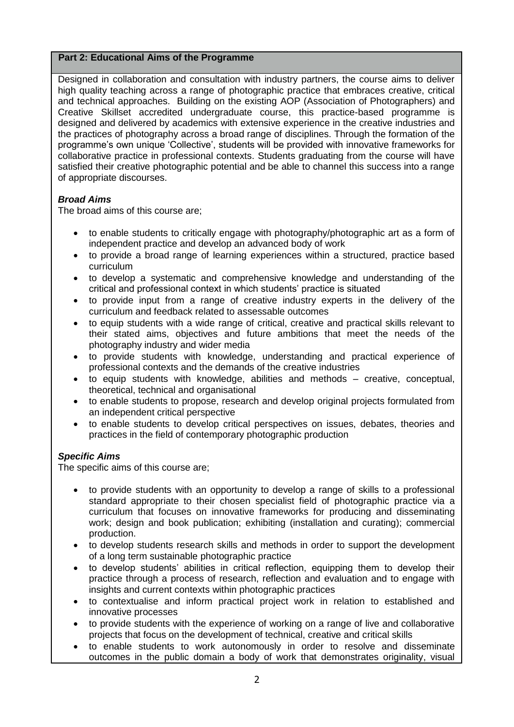### **Part 2: Educational Aims of the Programme**

Designed in collaboration and consultation with industry partners, the course aims to deliver high quality teaching across a range of photographic practice that embraces creative, critical and technical approaches. Building on the existing AOP (Association of Photographers) and Creative Skillset accredited undergraduate course, this practice-based programme is designed and delivered by academics with extensive experience in the creative industries and the practices of photography across a broad range of disciplines. Through the formation of the programme's own unique 'Collective', students will be provided with innovative frameworks for collaborative practice in professional contexts. Students graduating from the course will have satisfied their creative photographic potential and be able to channel this success into a range of appropriate discourses.

### *Broad Aims*

The broad aims of this course are;

- to enable students to critically engage with photography/photographic art as a form of independent practice and develop an advanced body of work
- to provide a broad range of learning experiences within a structured, practice based curriculum
- to develop a systematic and comprehensive knowledge and understanding of the critical and professional context in which students' practice is situated
- to provide input from a range of creative industry experts in the delivery of the curriculum and feedback related to assessable outcomes
- to equip students with a wide range of critical, creative and practical skills relevant to their stated aims, objectives and future ambitions that meet the needs of the photography industry and wider media
- to provide students with knowledge, understanding and practical experience of professional contexts and the demands of the creative industries
- to equip students with knowledge, abilities and methods creative, conceptual, theoretical, technical and organisational
- to enable students to propose, research and develop original projects formulated from an independent critical perspective
- to enable students to develop critical perspectives on issues, debates, theories and practices in the field of contemporary photographic production

## *Specific Aims*

The specific aims of this course are;

- to provide students with an opportunity to develop a range of skills to a professional standard appropriate to their chosen specialist field of photographic practice via a curriculum that focuses on innovative frameworks for producing and disseminating work; design and book publication; exhibiting (installation and curating); commercial production.
- to develop students research skills and methods in order to support the development of a long term sustainable photographic practice
- to develop students' abilities in critical reflection, equipping them to develop their practice through a process of research, reflection and evaluation and to engage with insights and current contexts within photographic practices
- to contextualise and inform practical project work in relation to established and innovative processes
- to provide students with the experience of working on a range of live and collaborative projects that focus on the development of technical, creative and critical skills
- to enable students to work autonomously in order to resolve and disseminate outcomes in the public domain a body of work that demonstrates originality, visual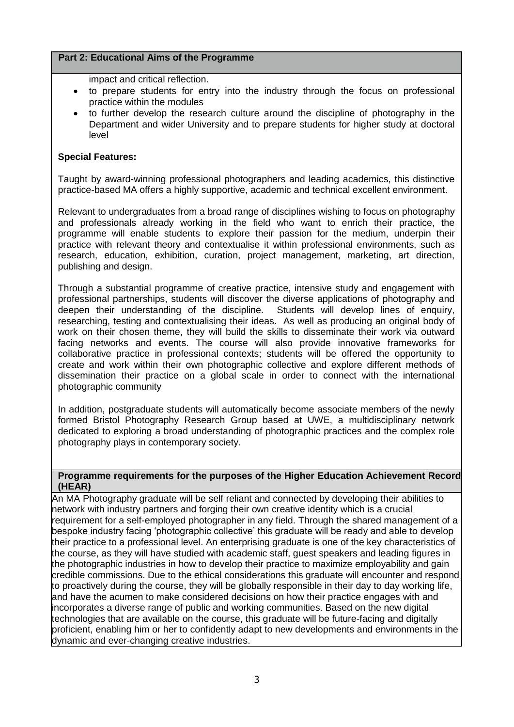### **Part 2: Educational Aims of the Programme**

impact and critical reflection.

- to prepare students for entry into the industry through the focus on professional practice within the modules
- to further develop the research culture around the discipline of photography in the Department and wider University and to prepare students for higher study at doctoral level

### **Special Features:**

Taught by award-winning professional photographers and leading academics, this distinctive practice-based MA offers a highly supportive, academic and technical excellent environment.

Relevant to undergraduates from a broad range of disciplines wishing to focus on photography and professionals already working in the field who want to enrich their practice, the programme will enable students to explore their passion for the medium, underpin their practice with relevant theory and contextualise it within professional environments, such as research, education, exhibition, curation, project management, marketing, art direction, publishing and design.

Through a substantial programme of creative practice, intensive study and engagement with professional partnerships, students will discover the diverse applications of photography and deepen their understanding of the discipline. Students will develop lines of enquiry, researching, testing and contextualising their ideas. As well as producing an original body of work on their chosen theme, they will build the skills to disseminate their work via outward facing networks and events. The course will also provide innovative frameworks for collaborative practice in professional contexts; students will be offered the opportunity to create and work within their own photographic collective and explore different methods of dissemination their practice on a global scale in order to connect with the international photographic community

In addition, postgraduate students will automatically become associate members of the newly formed Bristol Photography Research Group based at UWE, a multidisciplinary network dedicated to exploring a broad understanding of photographic practices and the complex role photography plays in contemporary society.

#### **Programme requirements for the purposes of the Higher Education Achievement Record (HEAR)**

An MA Photography graduate will be self reliant and connected by developing their abilities to network with industry partners and forging their own creative identity which is a crucial requirement for a self-employed photographer in any field. Through the shared management of a bespoke industry facing 'photographic collective' this graduate will be ready and able to develop their practice to a professional level. An enterprising graduate is one of the key characteristics of the course, as they will have studied with academic staff, guest speakers and leading figures in the photographic industries in how to develop their practice to maximize employability and gain credible commissions. Due to the ethical considerations this graduate will encounter and respond to proactively during the course, they will be globally responsible in their day to day working life, and have the acumen to make considered decisions on how their practice engages with and incorporates a diverse range of public and working communities. Based on the new digital technologies that are available on the course, this graduate will be future-facing and digitally proficient, enabling him or her to confidently adapt to new developments and environments in the dynamic and ever-changing creative industries.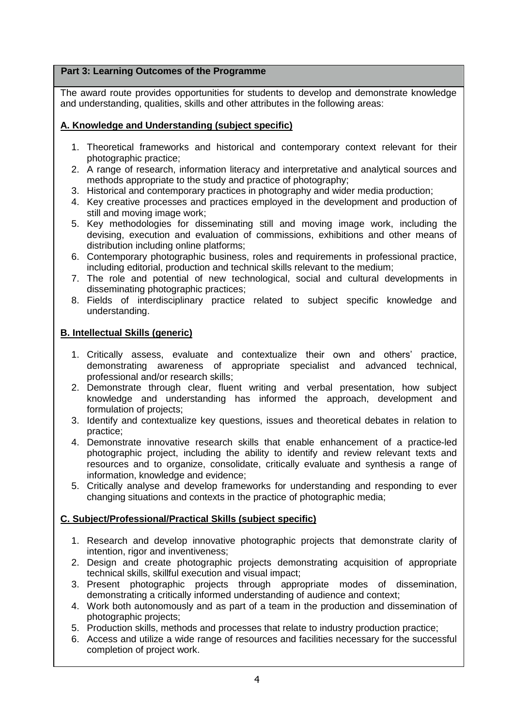# **Part 3: Learning Outcomes of the Programme**

The award route provides opportunities for students to develop and demonstrate knowledge and understanding, qualities, skills and other attributes in the following areas:

# **A. Knowledge and Understanding (subject specific)**

- 1. Theoretical frameworks and historical and contemporary context relevant for their photographic practice;
- 2. A range of research, information literacy and interpretative and analytical sources and methods appropriate to the study and practice of photography;
- 3. Historical and contemporary practices in photography and wider media production;
- 4. Key creative processes and practices employed in the development and production of still and moving image work;
- 5. Key methodologies for disseminating still and moving image work, including the devising, execution and evaluation of commissions, exhibitions and other means of distribution including online platforms;
- 6. Contemporary photographic business, roles and requirements in professional practice, including editorial, production and technical skills relevant to the medium;
- 7. The role and potential of new technological, social and cultural developments in disseminating photographic practices;
- 8. Fields of interdisciplinary practice related to subject specific knowledge and understanding.

## **B. Intellectual Skills (generic)**

- 1. Critically assess, evaluate and contextualize their own and others' practice, demonstrating awareness of appropriate specialist and advanced technical, professional and/or research skills;
- 2. Demonstrate through clear, fluent writing and verbal presentation, how subject knowledge and understanding has informed the approach, development and formulation of projects;
- 3. Identify and contextualize key questions, issues and theoretical debates in relation to practice;
- 4. Demonstrate innovative research skills that enable enhancement of a practice-led photographic project, including the ability to identify and review relevant texts and resources and to organize, consolidate, critically evaluate and synthesis a range of information, knowledge and evidence;
- 5. Critically analyse and develop frameworks for understanding and responding to ever changing situations and contexts in the practice of photographic media;

## **C. Subject/Professional/Practical Skills (subject specific)**

- 1. Research and develop innovative photographic projects that demonstrate clarity of intention, rigor and inventiveness;
- 2. Design and create photographic projects demonstrating acquisition of appropriate technical skills, skillful execution and visual impact;
- 3. Present photographic projects through appropriate modes of dissemination, demonstrating a critically informed understanding of audience and context;
- 4. Work both autonomously and as part of a team in the production and dissemination of photographic projects;
- 5. Production skills, methods and processes that relate to industry production practice;
- 6. Access and utilize a wide range of resources and facilities necessary for the successful completion of project work.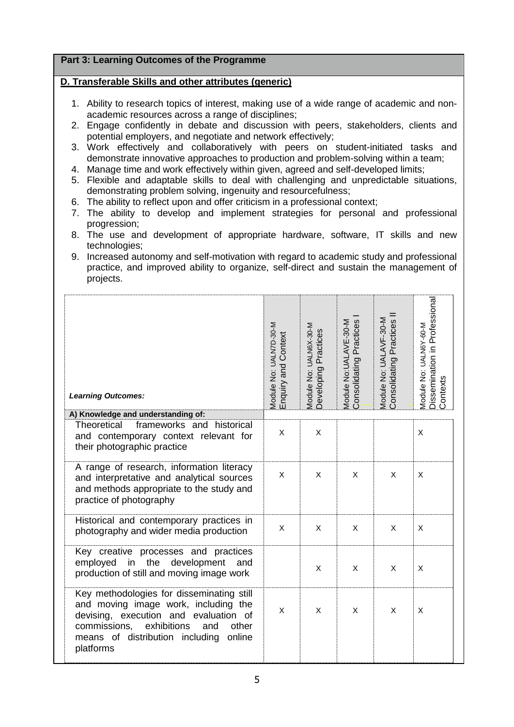### **Part 3: Learning Outcomes of the Programme**

### **D. Transferable Skills and other attributes (generic)**

- 1. Ability to research topics of interest, making use of a wide range of academic and nonacademic resources across a range of disciplines;
- 2. Engage confidently in debate and discussion with peers, stakeholders, clients and potential employers, and negotiate and network effectively;
- 3. Work effectively and collaboratively with peers on student-initiated tasks and demonstrate innovative approaches to production and problem-solving within a team;
- 4. Manage time and work effectively within given, agreed and self-developed limits;
- 5. Flexible and adaptable skills to deal with challenging and unpredictable situations, demonstrating problem solving, ingenuity and resourcefulness;
- 6. The ability to reflect upon and offer criticism in a professional context;
- 7. The ability to develop and implement strategies for personal and professional progression;
- 8. The use and development of appropriate hardware, software, IT skills and new technologies;
- 9. Increased autonomy and self-motivation with regard to academic study and professional practice, and improved ability to organize, self-direct and sustain the management of projects.

| <b>Learning Outcomes:</b><br>A) Knowledge and understanding of:                                                                                                                                                                  | Module No: UALN7D-30-M<br><b>Enquiry and Context</b> | Module No: UALN6X-30-M<br>Developing Practices | <b>Consolidating Practices</b><br>Module No:UALAVE-30-M | Module No: UALAVF-30-M<br>Consolidating Practices II | Dissemination in Professional<br>Module No: UALN6Y-60-M<br>Contexts |
|----------------------------------------------------------------------------------------------------------------------------------------------------------------------------------------------------------------------------------|------------------------------------------------------|------------------------------------------------|---------------------------------------------------------|------------------------------------------------------|---------------------------------------------------------------------|
| Theoretical<br>frameworks and historical<br>and contemporary context relevant for<br>their photographic practice                                                                                                                 | X                                                    | X                                              |                                                         |                                                      | X                                                                   |
| A range of research, information literacy<br>and interpretative and analytical sources<br>and methods appropriate to the study and<br>practice of photography                                                                    | X                                                    | X                                              | X                                                       | X                                                    | X                                                                   |
| Historical and contemporary practices in<br>photography and wider media production                                                                                                                                               | X                                                    | X                                              | X                                                       | X                                                    | X                                                                   |
| Key creative processes and practices<br>employed<br>the<br>in<br>development<br>and<br>production of still and moving image work                                                                                                 |                                                      | X                                              | X                                                       | X                                                    | X                                                                   |
| Key methodologies for disseminating still<br>and moving image work, including the<br>devising, execution and evaluation of<br>commissions,<br>exhibitions<br>and<br>other<br>means of distribution including online<br>platforms | X                                                    | X                                              | X                                                       | X                                                    | X                                                                   |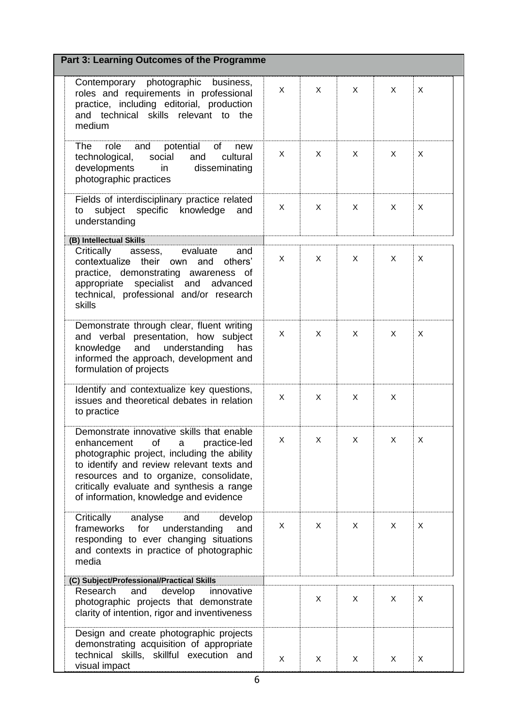| Part 3: Learning Outcomes of the Programme                                                                                                                                                                                                                                                                        |       |    |    |          |   |
|-------------------------------------------------------------------------------------------------------------------------------------------------------------------------------------------------------------------------------------------------------------------------------------------------------------------|-------|----|----|----------|---|
| Contemporary photographic<br>business,<br>roles and requirements in professional<br>practice, including editorial, production<br>and technical skills relevant to the<br>medium                                                                                                                                   | X     | X. | X  | X        | X |
| The<br>and<br>potential<br>role<br>of<br>new<br>technological,<br>social<br>and<br>cultural<br>developments<br>disseminating<br>$\mathsf{in}$ and $\mathsf{in}$<br>photographic practices                                                                                                                         | X     | X  | X. | X        | X |
| Fields of interdisciplinary practice related<br>subject specific knowledge<br>and<br>to<br>understanding                                                                                                                                                                                                          | X     | X  | X  | X        | X |
| (B) Intellectual Skills<br>Critically<br>evaluate<br>and<br>assess,<br>contextualize their<br>others'<br>own and<br>practice, demonstrating awareness of<br>appropriate specialist and advanced<br>technical, professional and/or research<br>skills                                                              | X     | X  | X  | X        | X |
| Demonstrate through clear, fluent writing<br>and verbal presentation, how subject<br>understanding<br>knowledge<br>and<br>has<br>informed the approach, development and<br>formulation of projects                                                                                                                | X     | X  | X  | X        | X |
| Identify and contextualize key questions,<br>issues and theoretical debates in relation<br>to practice                                                                                                                                                                                                            | X     | X  | X. | X        |   |
| Demonstrate innovative skills that enable<br>practice-led<br>enhancement<br>οf<br>a<br>photographic project, including the ability<br>to identify and review relevant texts and<br>resources and to organize, consolidate,<br>critically evaluate and synthesis a range<br>of information, knowledge and evidence | $X -$ | X  | X. | X        | Χ |
| analyse<br><b>Critically</b><br>develop<br>and<br>frameworks<br>understanding<br>for<br>and<br>responding to ever changing situations<br>and contexts in practice of photographic<br>media                                                                                                                        | X     | X  | X  | X        | X |
| (C) Subject/Professional/Practical Skills<br>Research<br>develop<br>innovative<br>and<br>photographic projects that demonstrate<br>clarity of intention, rigor and inventiveness                                                                                                                                  |       | X  | X  | X        | X |
| Design and create photographic projects<br>demonstrating acquisition of appropriate<br>technical skills, skillful execution and<br>visual impact                                                                                                                                                                  | X     | X  | X  | $\times$ | X |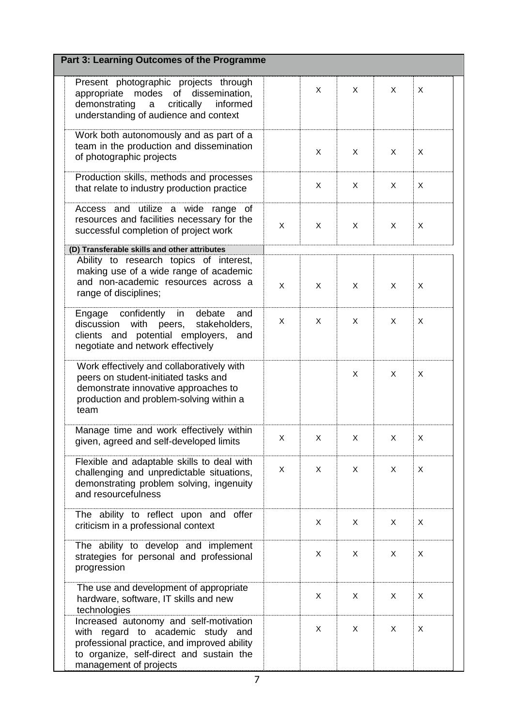| Part 3: Learning Outcomes of the Programme                                                                                                                                                       |    |    |          |          |   |
|--------------------------------------------------------------------------------------------------------------------------------------------------------------------------------------------------|----|----|----------|----------|---|
| Present photographic projects through<br>appropriate modes of dissemination,<br>demonstrating<br>critically informed<br>a<br>understanding of audience and context                               |    | X  | $\times$ | X        | X |
| Work both autonomously and as part of a<br>team in the production and dissemination<br>of photographic projects                                                                                  |    | X  | $\times$ | X        | X |
| Production skills, methods and processes<br>that relate to industry production practice                                                                                                          |    | X  | X        | $\times$ | X |
| Access and utilize a wide range of<br>resources and facilities necessary for the<br>successful completion of project work                                                                        | X  | X  | $\times$ | X        | X |
| (D) Transferable skills and other attributes                                                                                                                                                     |    |    |          |          |   |
| Ability to research topics of interest,<br>making use of a wide range of academic<br>and non-academic resources across a<br>range of disciplines;                                                | X  | X  | X        | X        | X |
| Engage confidently in<br>debate<br>and<br>discussion<br>with peers,<br>stakeholders,<br>clients and potential employers,<br>and<br>negotiate and network effectively                             | X  | X  | X.       | X        | X |
| Work effectively and collaboratively with<br>peers on student-initiated tasks and<br>demonstrate innovative approaches to<br>production and problem-solving within a<br>team                     |    |    | X.       | X        | X |
| Manage time and work effectively within<br>given, agreed and self-developed limits                                                                                                               | X. | X. | X.       | X.       | X |
| Flexible and adaptable skills to deal with<br>challenging and unpredictable situations,<br>demonstrating problem solving, ingenuity<br>and resourcefulness                                       | X  | X  | $\times$ | $\times$ | X |
| The ability to reflect upon and offer<br>criticism in a professional context                                                                                                                     |    | X  | X        | X        | X |
| The ability to develop and implement<br>strategies for personal and professional<br>progression                                                                                                  |    | X  | X        | X        | X |
| The use and development of appropriate<br>hardware, software, IT skills and new<br>technologies                                                                                                  |    | X  | X        | X        | X |
| Increased autonomy and self-motivation<br>with regard to academic study and<br>professional practice, and improved ability<br>to organize, self-direct and sustain the<br>management of projects |    | X  | X        | X        | X |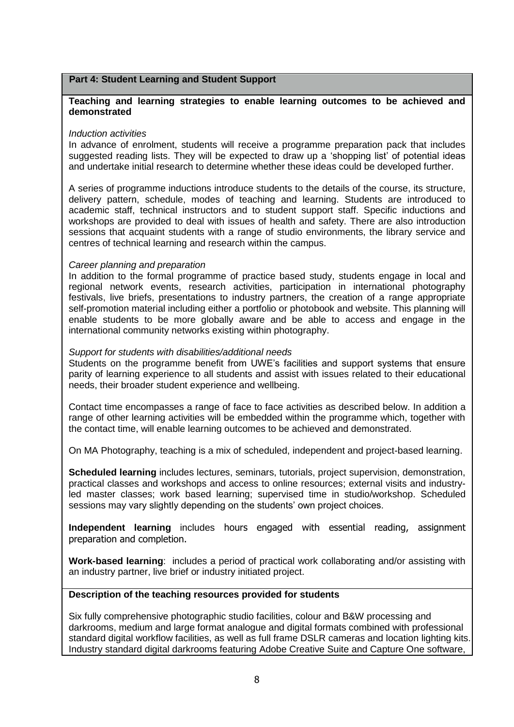### **Part 4: Student Learning and Student Support**

#### **Teaching and learning strategies to enable learning outcomes to be achieved and demonstrated**

#### *Induction activities*

In advance of enrolment, students will receive a programme preparation pack that includes suggested reading lists. They will be expected to draw up a 'shopping list' of potential ideas and undertake initial research to determine whether these ideas could be developed further.

A series of programme inductions introduce students to the details of the course, its structure, delivery pattern, schedule, modes of teaching and learning. Students are introduced to academic staff, technical instructors and to student support staff. Specific inductions and workshops are provided to deal with issues of health and safety. There are also introduction sessions that acquaint students with a range of studio environments, the library service and centres of technical learning and research within the campus.

### *Career planning and preparation*

In addition to the formal programme of practice based study, students engage in local and regional network events, research activities, participation in international photography festivals, live briefs, presentations to industry partners, the creation of a range appropriate self-promotion material including either a portfolio or photobook and website. This planning will enable students to be more globally aware and be able to access and engage in the international community networks existing within photography.

### *Support for students with disabilities/additional needs*

Students on the programme benefit from UWE's facilities and support systems that ensure parity of learning experience to all students and assist with issues related to their educational needs, their broader student experience and wellbeing.

Contact time encompasses a range of face to face activities as described below. In addition a range of other learning activities will be embedded within the programme which, together with the contact time, will enable learning outcomes to be achieved and demonstrated.

On MA Photography, teaching is a mix of scheduled, independent and project-based learning.

**Scheduled learning** includes lectures, seminars, tutorials, project supervision, demonstration, practical classes and workshops and access to online resources; external visits and industryled master classes; work based learning; supervised time in studio/workshop. Scheduled sessions may vary slightly depending on the students' own project choices.

**Independent learning** includes hours engaged with essential reading, assignment preparation and completion.

**Work-based learning**: includes a period of practical work collaborating and/or assisting with an industry partner, live brief or industry initiated project.

### **Description of the teaching resources provided for students**

Six fully comprehensive photographic studio facilities, colour and B&W processing and darkrooms, medium and large format analogue and digital formats combined with professional standard digital workflow facilities, as well as full frame DSLR cameras and location lighting kits. Industry standard digital darkrooms featuring Adobe Creative Suite and Capture One software,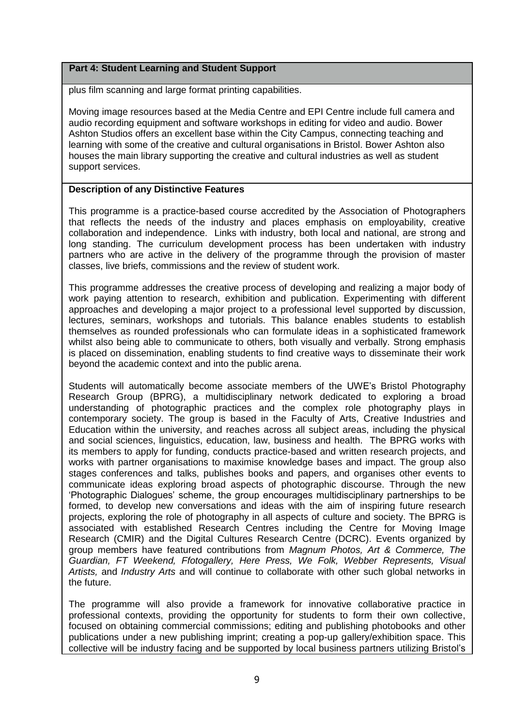### **Part 4: Student Learning and Student Support**

plus film scanning and large format printing capabilities.

Moving image resources based at the Media Centre and EPI Centre include full camera and audio recording equipment and software workshops in editing for video and audio. Bower Ashton Studios offers an excellent base within the City Campus, connecting teaching and learning with some of the creative and cultural organisations in Bristol. Bower Ashton also houses the main library supporting the creative and cultural industries as well as student support services.

### **Description of any Distinctive Features**

This programme is a practice-based course accredited by the Association of Photographers that reflects the needs of the industry and places emphasis on employability, creative collaboration and independence. Links with industry, both local and national, are strong and long standing. The curriculum development process has been undertaken with industry partners who are active in the delivery of the programme through the provision of master classes, live briefs, commissions and the review of student work.

This programme addresses the creative process of developing and realizing a major body of work paying attention to research, exhibition and publication. Experimenting with different approaches and developing a major project to a professional level supported by discussion, lectures, seminars, workshops and tutorials. This balance enables students to establish themselves as rounded professionals who can formulate ideas in a sophisticated framework whilst also being able to communicate to others, both visually and verbally. Strong emphasis is placed on dissemination, enabling students to find creative ways to disseminate their work beyond the academic context and into the public arena.

Students will automatically become associate members of the UWE's Bristol Photography Research Group (BPRG), a multidisciplinary network dedicated to exploring a broad understanding of photographic practices and the complex role photography plays in contemporary society. The group is based in the Faculty of Arts, Creative Industries and Education within the university, and reaches across all subject areas, including the physical and social sciences, linguistics, education, law, business and health. The BPRG works with its members to apply for funding, conducts practice-based and written research projects, and works with partner organisations to maximise knowledge bases and impact. The group also stages conferences and talks, publishes books and papers, and organises other events to communicate ideas exploring broad aspects of photographic discourse. Through the new 'Photographic Dialogues' scheme, the group encourages multidisciplinary partnerships to be formed, to develop new conversations and ideas with the aim of inspiring future research projects, exploring the role of photography in all aspects of culture and society. The BPRG is associated with established Research Centres including the Centre for Moving Image Research (CMIR) and the Digital Cultures Research Centre (DCRC). Events organized by group members have featured contributions from *Magnum Photos, Art & Commerce, The Guardian, FT Weekend, Ffotogallery, Here Press, We Folk, Webber Represents, Visual Artists,* and *Industry Arts* and will continue to collaborate with other such global networks in the future.

The programme will also provide a framework for innovative collaborative practice in professional contexts, providing the opportunity for students to form their own collective, focused on obtaining commercial commissions; editing and publishing photobooks and other publications under a new publishing imprint; creating a pop-up gallery/exhibition space. This collective will be industry facing and be supported by local business partners utilizing Bristol's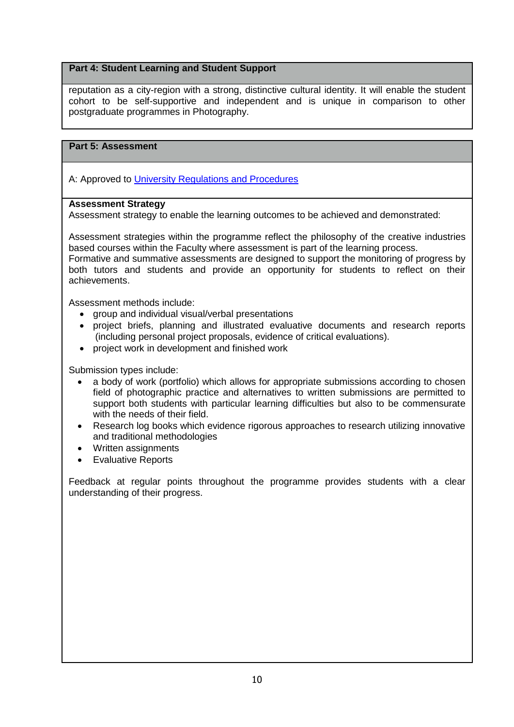### **Part 4: Student Learning and Student Support**

reputation as a city-region with a strong, distinctive cultural identity. It will enable the student cohort to be self-supportive and independent and is unique in comparison to other postgraduate programmes in Photography.

### **Part 5: Assessment**

A: Approved to [University Regulations and Procedures](http://www1.uwe.ac.uk/students/academicadvice/assessments/regulationsandprocedures.aspx)

### **Assessment Strategy**

Assessment strategy to enable the learning outcomes to be achieved and demonstrated:

Assessment strategies within the programme reflect the philosophy of the creative industries based courses within the Faculty where assessment is part of the learning process.

Formative and summative assessments are designed to support the monitoring of progress by both tutors and students and provide an opportunity for students to reflect on their achievements.

Assessment methods include:

- group and individual visual/verbal presentations
- project briefs, planning and illustrated evaluative documents and research reports (including personal project proposals, evidence of critical evaluations).
- project work in development and finished work

Submission types include:

- a body of work (portfolio) which allows for appropriate submissions according to chosen field of photographic practice and alternatives to written submissions are permitted to support both students with particular learning difficulties but also to be commensurate with the needs of their field.
- Research log books which evidence rigorous approaches to research utilizing innovative and traditional methodologies
- Written assignments
- Evaluative Reports

Feedback at regular points throughout the programme provides students with a clear understanding of their progress.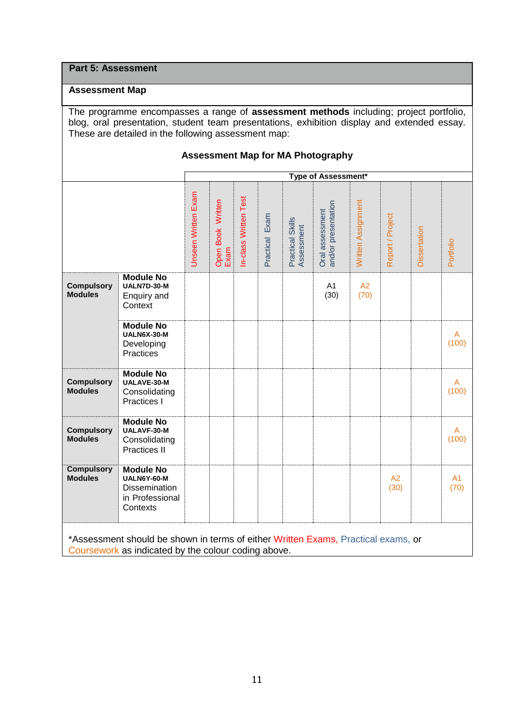### **Part 5: Assessment**

### **Assessment Map**

The programme encompasses a range of **assessment methods** including; project portfolio, blog, oral presentation, student team presentations, exhibition display and extended essay. These are detailed in the following assessment map:

### **Assessment Map for MA Photography**

|                                     |                                                                                        |                            |                           |                       |                |                                | Type of Assessment*                    |                    |                  |              |                        |
|-------------------------------------|----------------------------------------------------------------------------------------|----------------------------|---------------------------|-----------------------|----------------|--------------------------------|----------------------------------------|--------------------|------------------|--------------|------------------------|
|                                     |                                                                                        | <b>Jnseen Written Exam</b> | Open Book Written<br>Exam | In-class Written Test | Practical Exam | Practical Skills<br>Assessment | and/or presentation<br>Oral assessment | Written Assignment | Report / Project | Dissertation | Portfolio              |
| <b>Compulsory</b><br><b>Modules</b> | <b>Module No</b><br>UALN7D-30-M<br>Enquiry and<br>Context                              |                            |                           |                       |                |                                | A1<br>(30)                             | A2<br>(70)         |                  |              |                        |
|                                     | <b>Module No</b><br>UALN6X-30-M<br>Developing<br>Practices                             |                            |                           |                       |                |                                |                                        |                    |                  |              | A<br>(100)             |
| <b>Compulsory</b><br><b>Modules</b> | <b>Module No</b><br>UALAVE-30-M<br>Consolidating<br>Practices I                        |                            |                           |                       |                |                                |                                        |                    |                  |              | $\mathsf{A}$<br>(100)  |
| <b>Compulsory</b><br><b>Modules</b> | <b>Module No</b><br>UALAVF-30-M<br>Consolidating<br><b>Practices II</b>                |                            |                           |                       |                |                                |                                        |                    |                  |              | A<br>(100)             |
| <b>Compulsory</b><br><b>Modules</b> | <b>Module No</b><br>UALN6Y-60-M<br><b>Dissemination</b><br>in Professional<br>Contexts |                            |                           |                       |                |                                |                                        |                    | A2<br>(30)       |              | A <sub>1</sub><br>(70) |
|                                     |                                                                                        |                            |                           |                       |                |                                |                                        |                    |                  |              |                        |

\*Assessment should be shown in terms of either Written Exams, Practical exams, or Coursework as indicated by the colour coding above.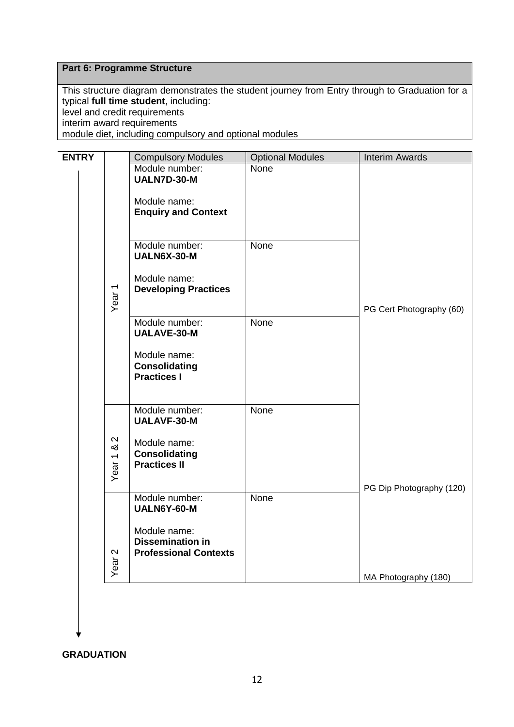# **Part 6: Programme Structure**

This structure diagram demonstrates the student journey from Entry through to Graduation for a typical **full time student**, including: level and credit requirements interim award requirements module diet, including compulsory and optional modules

| <b>ENTRY</b> |  |                                                                                                    | <b>Compulsory Modules</b>                                                                                | <b>Optional Modules</b> | <b>Interim Awards</b>    |
|--------------|--|----------------------------------------------------------------------------------------------------|----------------------------------------------------------------------------------------------------------|-------------------------|--------------------------|
|              |  |                                                                                                    | Module number:<br>UALN7D-30-M<br>Module name:<br><b>Enquiry and Context</b>                              | <b>None</b>             |                          |
|              |  | Year <sub>1</sub>                                                                                  | Module number:<br><b>UALN6X-30-M</b><br>Module name:<br><b>Developing Practices</b>                      | None                    | PG Cert Photography (60) |
|              |  | Module number:<br><b>UALAVE-30-M</b><br>Module name:<br><b>Consolidating</b><br><b>Practices I</b> | None                                                                                                     |                         |                          |
|              |  | $\mathbf{\Omega}$<br>ళ<br>Year <sub>1</sub>                                                        | Module number:<br><b>UALAVF-30-M</b><br>Module name:<br><b>Consolidating</b><br><b>Practices II</b>      | None                    | PG Dip Photography (120) |
|              |  | Year <sub>2</sub>                                                                                  | Module number:<br>UALN6Y-60-M<br>Module name:<br><b>Dissemination in</b><br><b>Professional Contexts</b> | None                    | MA Photography (180)     |
|              |  |                                                                                                    |                                                                                                          |                         |                          |

**GRADUATION**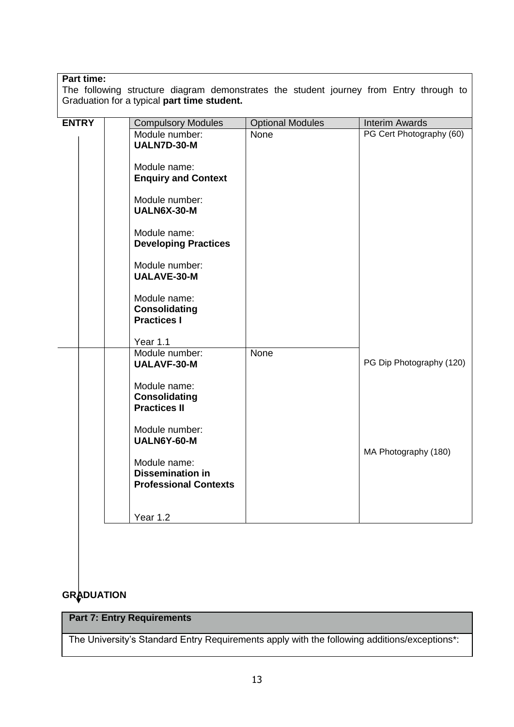### **Part time:**

The following structure diagram demonstrates the student journey from Entry through to Graduation for a typical **part time student.**

| <b>ENTRY</b> | <b>Compulsory Modules</b>                                                                                                                                                                                                                                                     | <b>Optional Modules</b> | <b>Interim Awards</b>                            |
|--------------|-------------------------------------------------------------------------------------------------------------------------------------------------------------------------------------------------------------------------------------------------------------------------------|-------------------------|--------------------------------------------------|
|              | Module number:<br>UALN7D-30-M<br>Module name:<br><b>Enquiry and Context</b><br>Module number:<br>UALN6X-30-M<br>Module name:<br><b>Developing Practices</b><br>Module number:<br><b>UALAVE-30-M</b><br>Module name:<br><b>Consolidating</b><br><b>Practices I</b><br>Year 1.1 | None                    | PG Cert Photography (60)                         |
|              | Module number:<br><b>UALAVF-30-M</b><br>Module name:<br><b>Consolidating</b><br><b>Practices II</b><br>Module number:<br>UALN6Y-60-M<br>Module name:<br><b>Dissemination in</b><br><b>Professional Contexts</b><br>Year 1.2                                                   | None                    | PG Dip Photography (120)<br>MA Photography (180) |

# **GRADUATION**

# **Part 7: Entry Requirements**

The University's Standard Entry Requirements apply with the following additions/exceptions\*: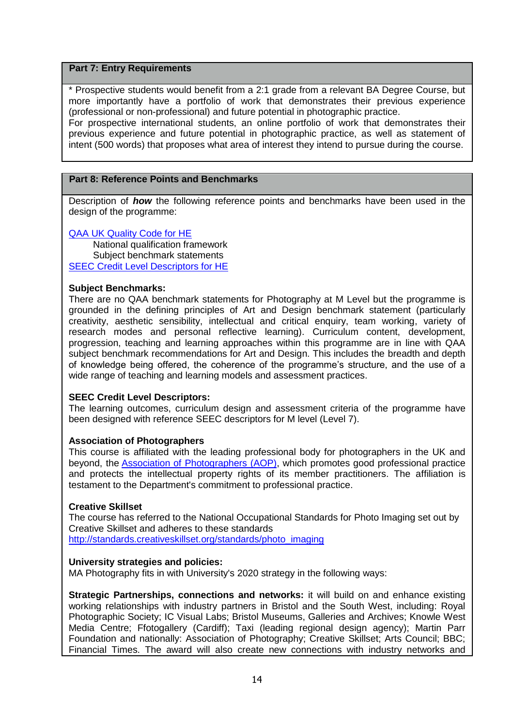### **Part 7: Entry Requirements**

\* Prospective students would benefit from a 2:1 grade from a relevant BA Degree Course, but more importantly have a portfolio of work that demonstrates their previous experience (professional or non-professional) and future potential in photographic practice.

For prospective international students, an online portfolio of work that demonstrates their previous experience and future potential in photographic practice, as well as statement of intent (500 words) that proposes what area of interest they intend to pursue during the course.

### **Part 8: Reference Points and Benchmarks**

Description of *how* the following reference points and benchmarks have been used in the design of the programme:

#### [QAA UK Quality Code for HE](http://www.qaa.ac.uk/assuringstandardsandquality/quality-code/Pages/default.aspx)

National qualification framework Subject benchmark statements [SEEC Credit Level Descriptors for HE](http://www.seec.org.uk/seec-credit-level-descriptors-2010-revised-2004/)

### **Subject Benchmarks:**

There are no QAA benchmark statements for Photography at M Level but the programme is grounded in the defining principles of Art and Design benchmark statement (particularly creativity, aesthetic sensibility, intellectual and critical enquiry, team working, variety of research modes and personal reflective learning). Curriculum content, development, progression, teaching and learning approaches within this programme are in line with QAA subject benchmark recommendations for Art and Design. This includes the breadth and depth of knowledge being offered, the coherence of the programme's structure, and the use of a wide range of teaching and learning models and assessment practices.

#### **SEEC Credit Level Descriptors:**

The learning outcomes, curriculum design and assessment criteria of the programme have been designed with reference SEEC descriptors for M level (Level 7).

#### **Association of Photographers**

This course is affiliated with the leading professional body for photographers in the UK and beyond, the [Association of Photographers \(AOP\),](http://www.the-aop.org/) which promotes good professional practice and protects the intellectual property rights of its member practitioners. The affiliation is testament to the Department's commitment to professional practice.

#### **Creative Skillset**

The course has referred to the National Occupational Standards for Photo Imaging set out by Creative Skillset and adheres to these standards

[http://standards.creativeskillset.org/standards/photo\\_imaging](http://standards.creativeskillset.org/standards/photo_imaging)

#### **University strategies and policies:**

MA Photography fits in with University's 2020 strategy in the following ways:

**Strategic Partnerships, connections and networks:** it will build on and enhance existing working relationships with industry partners in Bristol and the South West, including: Royal Photographic Society; IC Visual Labs; Bristol Museums, Galleries and Archives; Knowle West Media Centre; Ffotogallery (Cardiff); Taxi (leading regional design agency); Martin Parr Foundation and nationally: Association of Photography; Creative Skillset; Arts Council; BBC; Financial Times. The award will also create new connections with industry networks and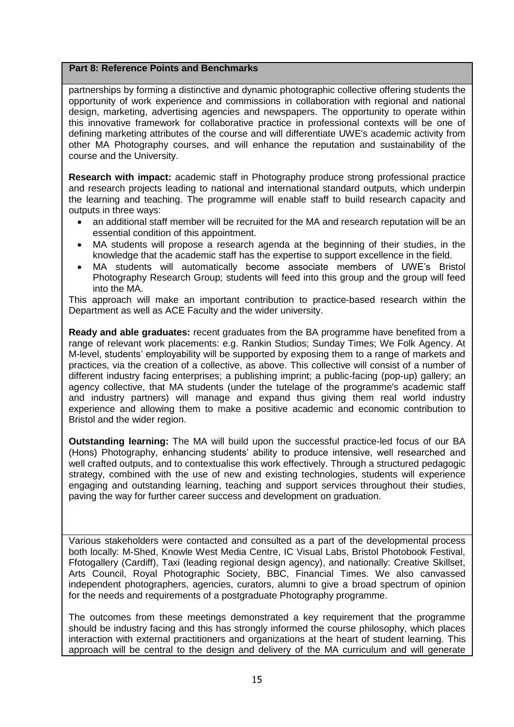### **Part 8: Reference Points and Benchmarks**

partnerships by forming a distinctive and dynamic photographic collective offering students the opportunity of work experience and commissions in collaboration with regional and national design, marketing, advertising agencies and newspapers. The opportunity to operate within this innovative framework for collaborative practice in professional contexts will be one of defining marketing attributes of the course and will differentiate UWE's academic activity from other MA Photography courses, and will enhance the reputation and sustainability of the course and the University.

**Research with impact:** academic staff in Photography produce strong professional practice and research projects leading to national and international standard outputs, which underpin the learning and teaching. The programme will enable staff to build research capacity and outputs in three ways:

- an additional staff member will be recruited for the MA and research reputation will be an essential condition of this appointment.
- MA students will propose a research agenda at the beginning of their studies, in the knowledge that the academic staff has the expertise to support excellence in the field.
- MA students will automatically become associate members of UWE's Bristol Photography Research Group; students will feed into this group and the group will feed into the MA.

This approach will make an important contribution to practice-based research within the Department as well as ACE Faculty and the wider university.

**Ready and able graduates:** recent graduates from the BA programme have benefited from a range of relevant work placements: e.g. Rankin Studios; Sunday Times; We Folk Agency. At M-level, students' employability will be supported by exposing them to a range of markets and practices, via the creation of a collective, as above. This collective will consist of a number of different industry facing enterprises; a publishing imprint; a public-facing (pop-up) gallery; an agency collective, that MA students (under the tutelage of the programme's academic staff and industry partners) will manage and expand thus giving them real world industry experience and allowing them to make a positive academic and economic contribution to Bristol and the wider region.

**Outstanding learning:** The MA will build upon the successful practice-led focus of our BA (Hons) Photography, enhancing students' ability to produce intensive, well researched and well crafted outputs, and to contextualise this work effectively. Through a structured pedagogic strategy, combined with the use of new and existing technologies, students will experience engaging and outstanding learning, teaching and support services throughout their studies, paving the way for further career success and development on graduation.

Various stakeholders were contacted and consulted as a part of the developmental process both locally: M-Shed, Knowle West Media Centre, IC Visual Labs, Bristol Photobook Festival, Ffotogallery (Cardiff), Taxi (leading regional design agency), and nationally: Creative Skillset, Arts Council, Royal Photographic Society, BBC, Financial Times. We also canvassed independent photographers, agencies, curators, alumni to give a broad spectrum of opinion for the needs and requirements of a postgraduate Photography programme.

The outcomes from these meetings demonstrated a key requirement that the programme should be industry facing and this has strongly informed the course philosophy, which places interaction with external practitioners and organizations at the heart of student learning. This approach will be central to the design and delivery of the MA curriculum and will generate